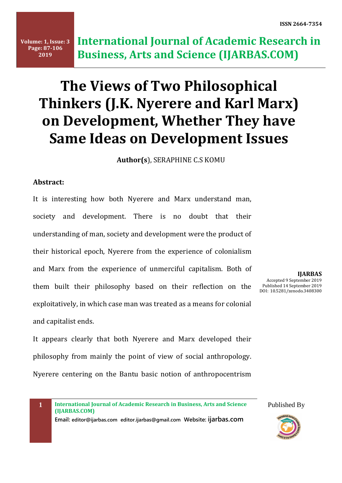# **The Views of Two Philosophical Thinkers (J.K. Nyerere and Karl Marx) on Development, Whether They have Same Ideas on Development Issues**

**Author(s**), SERAPHINE C.S KOMU

### **Abstract:**

It is interesting how both Nyerere and Marx understand man, society and development. There is no doubt that their understanding of man, society and development were the product of their historical epoch, Nyerere from the experience of colonialism and Marx from the experience of unmerciful capitalism. Both of them built their philosophy based on their reflection on the exploitatively, in which case man was treated as a means for colonial and capitalist ends.

It appears clearly that both Nyerere and Marx developed their philosophy from mainly the point of view of social anthropology. Nyerere centering on the Bantu basic notion of anthropocentrism

**IJARBAS** Accepted 9 September 2019 Published 14 September 2019 DOI: 10.5281/zenodo.3408300

**1 International Journal of Academic Research in Business, Arts and Science (IJARBAS.COM)**

**Email: editor@ijarbas.com editor.ijarbas@gmail.com Website: ijarbas.com** 

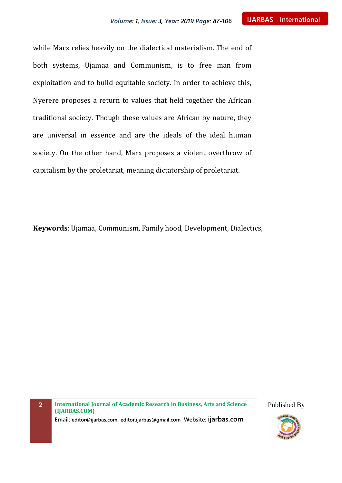while Marx relies heavily on the dialectical materialism. The end of both systems, Ujamaa and Communism, is to free man from exploitation and to build equitable society. In order to achieve this, Nyerere proposes a return to values that held together the African traditional society. Though these values are African by nature, they are universal in essence and are the ideals of the ideal human society. On the other hand, Marx proposes a violent overthrow of capitalism by the proletariat, meaning dictatorship of proletariat.

**Keywords**: Ujamaa, Communism, Family hood, Development, Dialectics,

**2 International Journal of Academic Research in Business, Arts and Science (IJARBAS.COM) Email: editor@ijarbas.com editor.ijarbas@gmail.com Website: ijarbas.com**

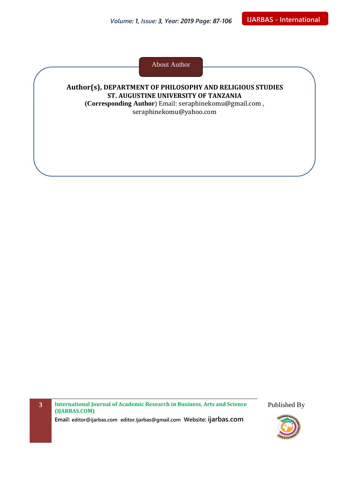About Author

# **Author(s), DEPARTMENT OF PHILOSOPHY AND RELIGIOUS STUDIES ST. AUGUSTINE UNIVERSITY OF TANZANIA (Corresponding Author**) Email: [seraphinekomu@gmail.com](mailto:seraphinekomu@gmail.com) ,

[seraphinekomu@yahoo.com](mailto:seraphinekomu@yahoo.com)

**3 International Journal of Academic Research in Business, Arts and Science (IJARBAS.COM) Email: editor@ijarbas.com editor.ijarbas@gmail.com Website: ijarbas.com**

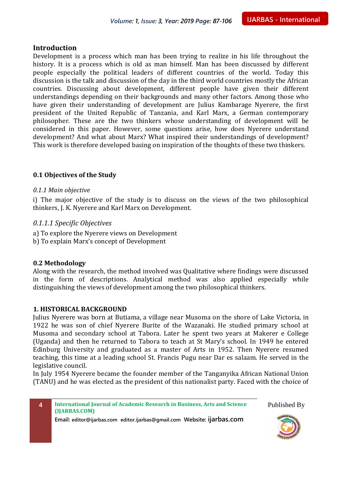#### **Introduction**

Development is a process which man has been trying to realize in his life throughout the history. It is a process which is old as man himself. Man has been discussed by different people especially the political leaders of different countries of the world. Today this discussion is the talk and discussion of the day in the third world countries mostly the African countries. Discussing about development, different people have given their different understandings depending on their backgrounds and many other factors. Among those who have given their understanding of development are Julius Kambarage Nyerere, the first president of the United Republic of Tanzania, and Karl Marx, a German contemporary philosopher. These are the two thinkers whose understanding of development will be considered in this paper. However, some questions arise, how does Nyerere understand development? And what about Marx? What inspired their understandings of development? This work is therefore developed basing on inspiration of the thoughts of these two thinkers.

#### **0.1 Objectives of the Study**

#### *0.1.1 Main objective*

i) The major objective of the study is to discuss on the views of the two philosophical thinkers, J. K. Nyerere and Karl Marx on Development.

#### *0.1.1.1 Specific Objectives*

- a) To explore the Nyerere views on Development
- b) To explain Marx's concept of Development

#### **0.2 Methodology**

Along with the research, the method involved was Qualitative where findings were discussed in the form of descriptions. Analytical method was also applied especially while distinguishing the views of development among the two philosophical thinkers.

#### **1. HISTORICAL BACKGROUND**

Julius Nyerere was born at Butiama, a village near Musoma on the shore of Lake Victoria, in 1922 he was son of chief Nyerere Burite of the Wazanaki. He studied primary school at Musoma and secondary school at Tabora. Later he spent two years at Makerer e College (Uganda) and then he returned to Tabora to teach at St Mary's school. In 1949 he entered Edinburg University and graduated as a master of Arts in 1952. Then Nyerere resumed teaching, this time at a leading school St. Francis Pugu near Dar es salaam. He served in the legislative council.

In July 1954 Nyerere became the founder member of the Tanganyika African National Union (TANU) and he was elected as the president of this nationalist party. Faced with the choice of



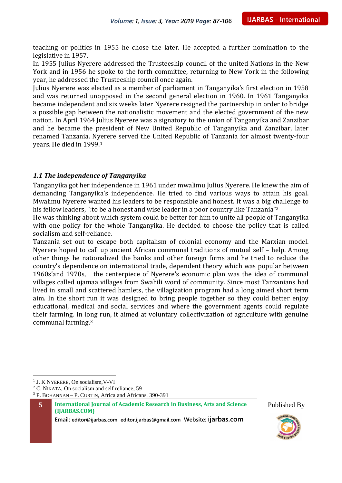teaching or politics in 1955 he chose the later. He accepted a further nomination to the legislative in 1957.

In 1955 Julius Nyerere addressed the Trusteeship council of the united Nations in the New York and in 1956 he spoke to the forth committee, returning to New York in the following year, he addressed the Trusteeship council once again.

Julius Nyerere was elected as a member of parliament in Tanganyika's first election in 1958 and was returned unopposed in the second general election in 1960. In 1961 Tanganyika became independent and six weeks later Nyerere resigned the partnership in order to bridge a possible gap between the nationalistic movement and the elected government of the new nation. In April 1964 Julius Nyerere was a signatory to the union of Tanganyika and Zanzibar and he became the president of New United Republic of Tanganyika and Zanzibar, later renamed Tanzania. Nyerere served the United Republic of Tanzania for almost twenty-four years. He died in 1999.<sup>1</sup>

#### *1.1 The independence of Tanganyika*

Tanganyika got her independence in 1961 under mwalimu Julius Nyerere. He knew the aim of demanding Tanganyika's independence. He tried to find various ways to attain his goal. Mwalimu Nyerere wanted his leaders to be responsible and honest. It was a big challenge to his fellow leaders, ": to be a honest and wise leader in a poor country like Tanzania"<sup>2</sup>

He was thinking about which system could be better for him to unite all people of Tanganyika with one policy for the whole Tanganyika. He decided to choose the policy that is called socialism and self-reliance.

Tanzania set out to escape both capitalism of colonial economy and the Marxian model. Nyerere hoped to call up ancient African communal traditions of mutual self – help. Among other things he nationalized the banks and other foreign firms and he tried to reduce the country's dependence on international trade, dependent theory which was popular between 1960s'and 1970s, the centerpiece of Nyerere's economic plan was the idea of communal villages called ujamaa villages from Swahili word of community. Since most Tanzanians had lived in small and scattered hamlets, the villagization program had a long aimed short term aim. In the short run it was designed to bring people together so they could better enjoy educational, medical and social services and where the government agents could regulate their farming. In long run, it aimed at voluntary collectivization of agriculture with genuine communal farming.<sup>3</sup>

 $\overline{a}$ 

**Email: editor@ijarbas.com editor.ijarbas@gmail.com Website: ijarbas.com**



<sup>1</sup> J. K NYERERE, On socialism,V-VI

 $2^{\circ}$  C. NIKATA, On socialism and self reliance, 59

<sup>3</sup> P. BOHANNAN – P. CURTIN, Africa and Africans, 390-391

**<sup>5</sup> International Journal of Academic Research in Business, Arts and Science (IJARBAS.COM)**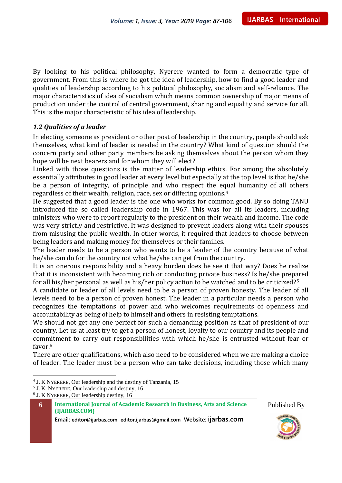By looking to his political philosophy, Nyerere wanted to form a democratic type of government. From this is where he got the idea of leadership, how to find a good leader and qualities of leadership according to his political philosophy, socialism and self-reliance. The major characteristics of idea of socialism which means common ownership of major means of production under the control of central government, sharing and equality and service for all. This is the major characteristic of his idea of leadership.

#### *1.2 Qualities of a leader*

In electing someone as president or other post of leadership in the country, people should ask themselves, what kind of leader is needed in the country? What kind of question should the concern party and other party members be asking themselves about the person whom they hope will be next bearers and for whom they will elect?

Linked with those questions is the matter of leadership ethics. For among the absolutely essentially attributes in good leader at every level but especially at the top level is that he/she be a person of integrity, of principle and who respect the equal humanity of all others regardless of their wealth, religion, race, sex or differing opinions.<sup>4</sup>

He suggested that a good leader is the one who works for common good. By so doing TANU introduced the so called leadership code in 1967. This was for all its leaders, including ministers who were to report regularly to the president on their wealth and income. The code was very strictly and restrictive. It was designed to prevent leaders along with their spouses from misusing the public wealth. In other words, it required that leaders to choose between being leaders and making money for themselves or their families.

The leader needs to be a person who wants to be a leader of the country because of what he/she can do for the country not what he/she can get from the country.

It is an onerous responsibility and a heavy burden does he see it that way? Does he realize that it is inconsistent with becoming rich or conducting private business? Is he/she prepared for all his/her personal as well as his/her policy action to be watched and to be criticized?<sup>5</sup>

A candidate or leader of all levels need to be a person of proven honesty. The leader of all levels need to be a person of proven honest. The leader in a particular needs a person who recognizes the temptations of power and who welcomes requirements of openness and accountability as being of help to himself and others in resisting temptations.

We should not get any one perfect for such a demanding position as that of president of our country. Let us at least try to get a person of honest, loyalty to our country and its people and commitment to carry out responsibilities with which he/she is entrusted without fear or favor  $6$ 

There are other qualifications, which also need to be considered when we are making a choice of leader. The leader must be a person who can take decisions, including those which many





 $\overline{a}$ 4 J. K NYERERE, Our leadership and the destiny of Tanzania, 15

<sup>&</sup>lt;sup>5</sup> J. K. NYERERE, Our leadership and destiny, 16

<sup>6</sup> J. K NYERERE, Our leadership destiny, 16

**<sup>6</sup> International Journal of Academic Research in Business, Arts and Science (IJARBAS.COM)**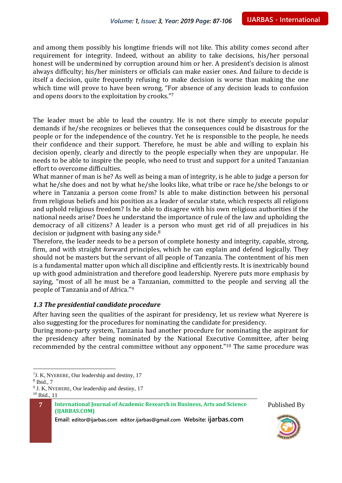and among them possibly his longtime friends will not like. This ability comes second after requirement for integrity. Indeed, without an ability to take decisions, his/her personal honest will be undermined by corruption around him or her. A president's decision is almost always difficulty; his/her ministers or officials can make easier ones. And failure to decide is itself a decision, quite frequently refusing to make decision is worse than making the one which time will prove to have been wrong. "For absence of any decision leads to confusion and opens doors to the exploitation by crooks."<sup>7</sup>

The leader must be able to lead the country. He is not there simply to execute popular demands if he/she recognizes or believes that the consequences could be disastrous for the people or for the independence of the country. Yet he is responsible to the people, he needs their confidence and their support. Therefore, he must be able and willing to explain his decision openly, clearly and directly to the people especially when they are unpopular. He needs to be able to inspire the people, who need to trust and support for a united Tanzanian effort to overcome difficulties.

What manner of man is he? As well as being a man of integrity, is he able to judge a person for what he/she does and not by what he/she looks like, what tribe or race he/she belongs to or where in Tanzania a person come from? Is able to make distinction between his personal from religious beliefs and his position as a leader of secular state, which respects all religions and uphold religious freedom? Is he able to disagree with his own religious authorities if the national needs arise? Does he understand the importance of rule of the law and upholding the democracy of all citizens? A leader is a person who must get rid of all prejudices in his decision or judgment with basing any side.<sup>8</sup>

Therefore, the leader needs to be a person of complete honesty and integrity, capable, strong, firm, and with straight forward principles, which he can explain and defend logically. They should not be masters but the servant of all people of Tanzania. The contentment of his men is a fundamental matter upon which all discipline and efficiently rests. It is inextricably bound up with good administration and therefore good leadership. Nyerere puts more emphasis by saying, "most of all he must be a Tanzanian, committed to the people and serving all the people of Tanzania and of Africa."<sup>9</sup>

#### *1.3 The presidential candidate procedure*

After having seen the qualities of the aspirant for presidency, let us review what Nyerere is also suggesting for the procedures for nominating the candidate for presidency.

During mono-party system, Tanzania had another procedure for nominating the aspirant for the presidency after being nominated by the National Executive Committee, after being recommended by the central committee without any opponent."<sup>10</sup> The same procedure was

 $\overline{a}$ 





<sup>&</sup>lt;sup>7</sup>J. K, NYERERE, Our leadership and destiny, 17

<sup>8</sup> Ibid., 7

<sup>&</sup>lt;sup>9</sup> J. K, NYERERE, Our leadership and destiny, 17 <sup>10</sup> Ibid., 11

**<sup>7</sup> International Journal of Academic Research in Business, Arts and Science (IJARBAS.COM)**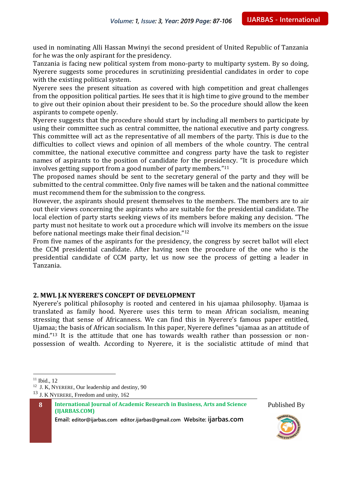used in nominating Alli Hassan Mwinyi the second president of United Republic of Tanzania for he was the only aspirant for the presidency.

Tanzania is facing new political system from mono-party to multiparty system. By so doing, Nyerere suggests some procedures in scrutinizing presidential candidates in order to cope with the existing political system.

Nyerere sees the present situation as covered with high competition and great challenges from the opposition political parties. He sees that it is high time to give ground to the member to give out their opinion about their president to be. So the procedure should allow the keen aspirants to compete openly.

Nyerere suggests that the procedure should start by including all members to participate by using their committee such as central committee, the national executive and party congress. This committee will act as the representative of all members of the party. This is due to the difficulties to collect views and opinion of all members of the whole country. The central committee, the national executive committee and congress party have the task to register names of aspirants to the position of candidate for the presidency. "It is procedure which involves getting support from a good number of party members."<sup>11</sup>

The proposed names should be sent to the secretary general of the party and they will be submitted to the central committee. Only five names will be taken and the national committee must recommend them for the submission to the congress.

However, the aspirants should present themselves to the members. The members are to air out their views concerning the aspirants who are suitable for the presidential candidate. The local election of party starts seeking views of its members before making any decision. "The party must not hesitate to work out a procedure which will involve its members on the issue before national meetings make their final decision."<sup>12</sup>

From five names of the aspirants for the presidency, the congress by secret ballot will elect the CCM presidential candidate. After having seen the procedure of the one who is the presidential candidate of CCM party, let us now see the process of getting a leader in Tanzania.

#### **2. MWL J.K NYERERE'S CONCEPT OF DEVELOPMENT**

Nyerere's political philosophy is rooted and centered in his ujamaa philosophy. Ujamaa is translated as family hood. Nyerere uses this term to mean African socialism, meaning stressing that sense of Africanness. We can find this in Nyerere's famous paper entitled, Ujamaa; the basis of African socialism. In this paper, Nyerere defines "ujamaa as an attitude of mind."<sup>13</sup> It is the attitude that one has towards wealth rather than possession or nonpossession of wealth. According to Nyerere, it is the socialistic attitude of mind that

 $\overline{a}$ 

<sup>13</sup> J. K NYERERE, Freedom and unity, 162

**8 International Journal of Academic Research in Business, Arts and Science (IJARBAS.COM)**





 $11$  Ibid.,  $12$ 

<sup>&</sup>lt;sup>12</sup> J. K, NYERERE, Our leadership and destiny, 90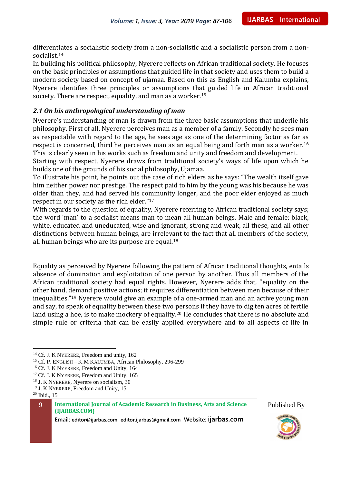differentiates a socialistic society from a non-socialistic and a socialistic person from a nonsocialist.<sup>14</sup>

In building his political philosophy, Nyerere reflects on African traditional society. He focuses on the basic principles or assumptions that guided life in that society and uses them to build a modern society based on concept of ujamaa. Based on this as English and Kalumba explains, Nyerere identifies three principles or assumptions that guided life in African traditional society. There are respect, equality, and man as a worker.<sup>15</sup>

#### *2.1 On his anthropological understanding of man*

Nyerere's understanding of man is drawn from the three basic assumptions that underlie his philosophy. First of all, Nyerere perceives man as a member of a family. Secondly he sees man as respectable with regard to the age, he sees age as one of the determining factor as far as respect is concerned, third he perceives man as an equal being and forth man as a worker.<sup>16</sup> This is clearly seen in his works such as freedom and unity and freedom and development.

Starting with respect, Nyerere draws from traditional society's ways of life upon which he builds one of the grounds of his social philosophy, Ujamaa.

To illustrate his point, he points out the case of rich elders as he says: "The wealth itself gave him neither power nor prestige. The respect paid to him by the young was his because he was older than they, and had served his community longer, and the poor elder enjoyed as much respect in our society as the rich elder." 17

With regards to the question of equality, Nyerere referring to African traditional society says; the word 'man' to a socialist means man to mean all human beings. Male and female; black, white, educated and uneducated, wise and ignorant, strong and weak, all these, and all other distinctions between human beings, are irrelevant to the fact that all members of the society, all human beings who are its purpose are equal. $18$ 

Equality as perceived by Nyerere following the pattern of African traditional thoughts, entails absence of domination and exploitation of one person by another. Thus all members of the African traditional society had equal rights. However, Nyerere adds that, "equality on the other hand, demand positive actions; it requires differentiation between men because of their inequalities."<sup>19</sup> Nyerere would give an example of a one-armed man and an active young man and say, to speak of equality between these two persons if they have to dig ten acres of fertile land using a hoe, is to make mockery of equality.<sup>20</sup> He concludes that there is no absolute and simple rule or criteria that can be easily applied everywhere and to all aspects of life in

 $\overline{a}$ 





<sup>&</sup>lt;sup>14</sup> Cf. J. K NYERERE, Freedom and unity, 162

<sup>15</sup> Cf. P. ENGLISH – K.M KALUMBA, African Philosophy, 296-299

<sup>&</sup>lt;sup>16</sup> Cf. J. K NYERERE, Freedom and Unity, 164

<sup>&</sup>lt;sup>17</sup> Cf. J. K NYERERE, Freedom and Unity, 165

<sup>18</sup> J. K NYERERE, Nyerere on socialism, 30

<sup>&</sup>lt;sup>19</sup> J. K NYERERE, Freedom and Unity, 15

<sup>20</sup> Ibid., 15

**<sup>9</sup> International Journal of Academic Research in Business, Arts and Science (IJARBAS.COM)**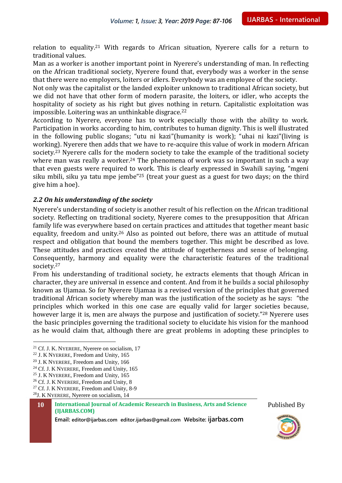relation to equality.<sup>21</sup> With regards to African situation, Nyerere calls for a return to traditional values.

Man as a worker is another important point in Nyerere's understanding of man. In reflecting on the African traditional society, Nyerere found that, everybody was a worker in the sense that there were no employers, loiters or idlers. Everybody was an employee of the society.

Not only was the capitalist or the landed exploiter unknown to traditional African society, but we did not have that other form of modern parasite, the loiters, or idler, who accepts the hospitality of society as his right but gives nothing in return. Capitalistic exploitation was impossible. Loitering was an unthinkable disgrace.<sup>22</sup>

According to Nyerere, everyone has to work especially those with the ability to work. Participation in works according to him, contributes to human dignity. This is well illustrated in the following public slogans; "utu ni kazi"(humanity is work); "uhai ni kazi"(living is working). Nyerere then adds that we have to re-acquire this value of work in modern African society.<sup>23</sup> Nyerere calls for the modern society to take the example of the traditional society where man was really a worker.<sup>24</sup> The phenomena of work was so important in such a way that even guests were required to work. This is clearly expressed in Swahili saying, "mgeni siku mbili, siku ya tatu mpe jembe<sup>"25</sup> (treat your guest as a guest for two days; on the third give him a hoe).

#### *2.2 On his understanding of the society*

Nyerere's understanding of society is another result of his reflection on the African traditional society. Reflecting on traditional society, Nyerere comes to the presupposition that African family life was everywhere based on certain practices and attitudes that together meant basic equality, freedom and unity.<sup>26</sup> Also as pointed out before, there was an attitude of mutual respect and obligation that bound the members together. This might be described as love. These attitudes and practices created the attitude of togetherness and sense of belonging. Consequently, harmony and equality were the characteristic features of the traditional society.<sup>27</sup>

From his understanding of traditional society, he extracts elements that though African in character, they are universal in essence and content. And from it he builds a social philosophy known as Ujamaa. So for Nyerere Ujamaa is a revised version of the principles that governed traditional African society whereby man was the justification of the society as he says: "the principles which worked in this one case are equally valid for larger societies because, however large it is, men are always the purpose and justification of society."<sup>28</sup> Nyerere uses the basic principles governing the traditional society to elucidate his vision for the manhood as he would claim that, although there are great problems in adopting these principles to

 $\overline{a}$ 





<sup>&</sup>lt;sup>21</sup> Cf. J. K. NYERERE, Nyerere on socialism, 17

<sup>22</sup> J. K NYERERE, Freedom and Unity, 165

<sup>23</sup> J. K NYERERE, Freedom and Unity, 166

<sup>&</sup>lt;sup>24</sup> Cf. J. K NYERERE, Freedom and Unity,  $165$ 

<sup>&</sup>lt;sup>25</sup> J. K NYERERE, Freedom and Unity, 165

<sup>&</sup>lt;sup>26</sup> Cf. J. K NYERERE, Freedom and Unity, 8

<sup>&</sup>lt;sup>27</sup> Cf. J. K NYERERE, Freedom and Unity, 8-9

<sup>28</sup>J. K NYERERE, Nyerere on socialism, 14

**<sup>10</sup> International Journal of Academic Research in Business, Arts and Science (IJARBAS.COM)**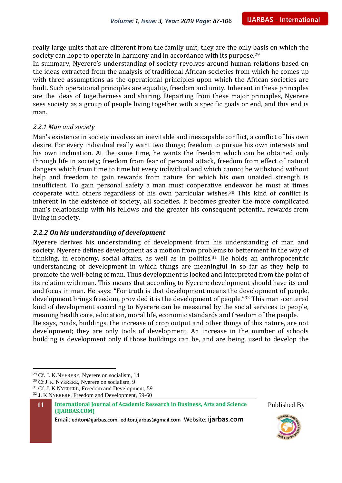really large units that are different from the family unit, they are the only basis on which the society can hope to operate in harmony and in accordance with its purpose.<sup>29</sup>

In summary, Nyerere's understanding of society revolves around human relations based on the ideas extracted from the analysis of traditional African societies from which he comes up with three assumptions as the operational principles upon which the African societies are built. Such operational principles are equality, freedom and unity. Inherent in these principles are the ideas of togetherness and sharing. Departing from these major principles, Nyerere sees society as a group of people living together with a specific goals or end, and this end is man.

#### *2.2.1 Man and society*

Man's existence in society involves an inevitable and inescapable conflict, a conflict of his own desire. For every individual really want two things; freedom to pursue his own interests and his own inclination. At the same time, he wants the freedom which can be obtained only through life in society; freedom from fear of personal attack, freedom from effect of natural dangers which from time to time hit every individual and which cannot be withstood without help and freedom to gain rewards from nature for which his own unaided strength is insufficient. To gain personal safety a man must cooperative endeavor he must at times cooperate with others regardless of his own particular wishes.<sup>30</sup> This kind of conflict is inherent in the existence of society, all societies. It becomes greater the more complicated man's relationship with his fellows and the greater his consequent potential rewards from living in society.

#### *2.2.2 On his understanding of development*

Nyerere derives his understanding of development from his understanding of man and society. Nyerere defines development as a motion from problems to betterment in the way of thinking, in economy, social affairs, as well as in politics.<sup>31</sup> He holds an anthropocentric understanding of development in which things are meaningful in so far as they help to promote the well-being of man. Thus development is looked and interpreted from the point of its relation with man. This means that according to Nyerere development should have its end and focus in man. He says: "For truth is that development means the development of people, development brings freedom, provided it is the development of people."<sup>32</sup> This man -centered kind of development according to Nyerere can be measured by the social services to people, meaning health care, education, moral life, economic standards and freedom of the people. He says, roads, buildings, the increase of crop output and other things of this nature, are not development; they are only tools of development. An increase in the number of schools

building is development only if those buildings can be, and are being, used to develop the

 $\overline{a}$ 

<sup>32</sup> J. K NYERERE, Freedom and Development, 59-60





<sup>29</sup> Cf. J. K.NYERERE, Nyerere on socialism, 14

<sup>30</sup> Cf J. K. NYERERE, Nyerere on socialism, 9

<sup>&</sup>lt;sup>31</sup> Cf. J. K NYERERE, Freedom and Development, 59

**<sup>11</sup> International Journal of Academic Research in Business, Arts and Science (IJARBAS.COM)**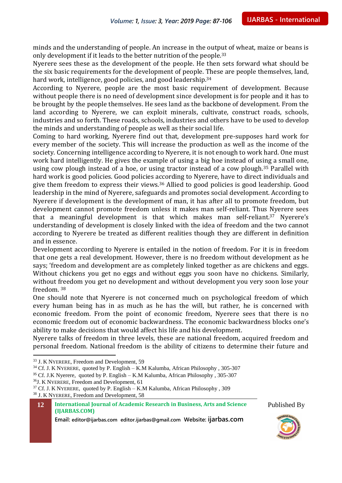minds and the understanding of people. An increase in the output of wheat, maize or beans is only development if it leads to the better nutrition of the people.<sup>33</sup>

Nyerere sees these as the development of the people. He then sets forward what should be the six basic requirements for the development of people. These are people themselves, land, hard work, intelligence, good policies, and good leadership.<sup>34</sup>

According to Nyerere, people are the most basic requirement of development. Because without people there is no need of development since development is for people and it has to be brought by the people themselves. He sees land as the backbone of development. From the land according to Nyerere, we can exploit minerals, cultivate, construct roads, schools, industries and so forth. These roads, schools, industries and others have to be used to develop the minds and understanding of people as well as their social life.

Coming to hard working, Nyerere find out that, development pre-supposes hard work for every member of the society. This will increase the production as well as the income of the society. Concerning intelligence according to Nyerere, it is not enough to work hard. One must work hard intelligently. He gives the example of using a big hoe instead of using a small one, using cow plough instead of a hoe, or using tractor instead of a cow plough.<sup>35</sup> Parallel with hard work is good policies. Good policies according to Nyerere, have to direct individuals and give them freedom to express their views.<sup>36</sup> Allied to good policies is good leadership. Good leadership in the mind of Nyerere, safeguards and promotes social development. According to Nyerere if development is the development of man, it has after all to promote freedom, but development cannot promote freedom unless it makes man self-reliant. Thus Nyerere sees that a meaningful development is that which makes man self-reliant. <sup>37</sup> Nyerere's understanding of development is closely linked with the idea of freedom and the two cannot according to Nyerere be treated as different realities though they are different in definition and in essence.

Development according to Nyerere is entailed in the notion of freedom. For it is in freedom that one gets a real development. However, there is no freedom without development as he says; 'freedom and development are as completely linked together as are chickens and eggs. Without chickens you get no eggs and without eggs you soon have no chickens. Similarly, without freedom you get no development and without development you very soon lose your freedom. <sup>38</sup>

One should note that Nyerere is not concerned much on psychological freedom of which every human being has in as much as he has the will, but rather, he is concerned with economic freedom. From the point of economic freedom, Nyerere sees that there is no economic freedom out of economic backwardness. The economic backwardness blocks one's ability to make decisions that would affect his life and his development.

Nyerere talks of freedom in three levels, these are national freedom, acquired freedom and personal freedom. National freedom is the ability of citizens to determine their future and

 $\overline{a}$ 

<sup>35</sup> Cf. J.K Nyerere, quoted by P. English – K.M Kalumba, African Philosophy , 305-307

<sup>36</sup>J. K NYERERE, Freedom and Development, 61

**12 International Journal of Academic Research in Business, Arts and Science (IJARBAS.COM)**





<sup>33</sup> J. K NYERERE, Freedom and Development, 59

<sup>34</sup> Cf. J. K NYERERE, quoted by P. English – K.M Kalumba, African Philosophy , 305-307

 $37$  Cf. J. K NYERERE, quoted by P. English – K.M Kalumba, African Philosophy, 309 <sup>38</sup> J. K NYERERE, Freedom and Development, 58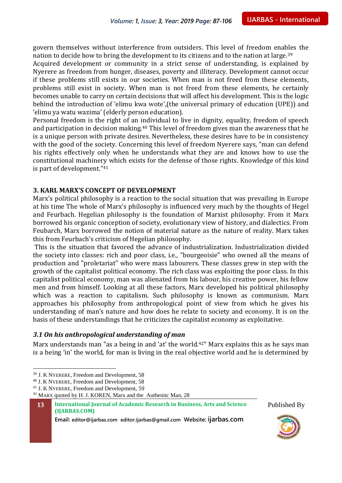govern themselves without interference from outsiders. This level of freedom enables the nation to decide how to bring the development to its citizens and to the nation at large.<sup>39</sup>

Acquired development or community in a strict sense of understanding, is explained by Nyerere as freedom from hunger, diseases, poverty and illiteracy. Development cannot occur if these problems still exists in our societies. When man is not freed from these elements, problems still exist in society. When man is not freed from these elements, he certainly becomes unable to carry on certain decisions that will affect his development. This is the logic behind the introduction of 'elimu kwa wote',(the universal primary of education (UPE)) and 'elimu ya watu wazima' (elderly person education).

Personal freedom is the right of an individual to live in dignity, equality, freedom of speech and participation in decision making.<sup>40</sup> This level of freedom gives man the awareness that he is a unique person with private desires. Nevertheless, these desires have to be in consistency with the good of the society. Concerning this level of freedom Nyerere says, "man can defend his rights effectively only when he understands what they are and knows how to use the constitutional machinery which exists for the defense of those rights. Knowledge of this kind is part of development."<sup>41</sup>

#### **3. KARL MARX'S CONCEPT OF DEVELOPMENT**

Marx's political philosophy is a reaction to the social situation that was prevailing in Europe at his time The whole of Marx's philosophy is influenced very much by the thoughts of Hegel and Feurbach. Hegelian philosophy is the foundation of Marxist philosophy. From it Marx borrowed his organic conception of society, evolutionary view of history, and dialectics. From Feubarch, Marx borrowed the notion of material nature as the nature of reality. Marx takes this from Feurbach's criticism of Hegelian philosophy.

This is the situation that favored the advance of industrialization. Industrialization divided the society into classes: rich and poor class, i.e., "bourgeoisie" who owned all the means of production and "proletariat" who were mass labourers. These classes grew in step with the growth of the capitalist political economy. The rich class was exploiting the poor class. In this capitalist political economy, man was alienated from his labour, his creative power, his fellow men and from himself. Looking at all these factors, Marx developed his political philosophy which was a reaction to capitalism. Such philosophy is known as communism. Marx approaches his philosophy from anthropological point of view from which he gives his understanding of man's nature and how does he relate to society and economy. It is on the basis of these understandings that he criticizes the capitalist economy as exploitative.

#### *3.1 On his anthropological understanding of man*

Marx understands man "as a being in and 'at' the world.<sup>42</sup>" Marx explains this as he says man is a being 'in' the world, for man is living in the real objective world and he is determined by

 $\overline{a}$ 





<sup>&</sup>lt;sup>39</sup> J. K NYERERE, Freedom and Development, 58

<sup>40</sup> J. K NYERERE, Freedom and Development, 58

<sup>41</sup> J. K NYERERE, Freedom and Development, 59

<sup>&</sup>lt;sup>42</sup> MARX quoted by H. J. KOREN, Marx and the Authenitc Man, 28

**<sup>13</sup> International Journal of Academic Research in Business, Arts and Science (IJARBAS.COM)**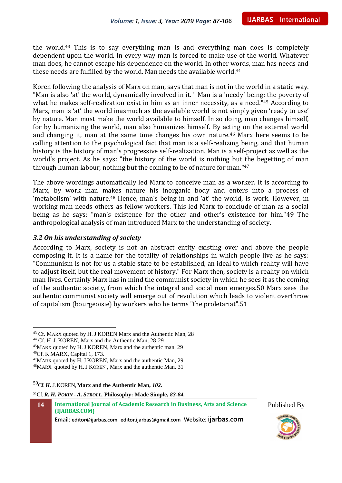the world.<sup>43</sup> This is to say everything man is and everything man does is completely dependent upon the world. In every way man is forced to make use of the world. Whatever man does, he cannot escape his dependence on the world. In other words, man has needs and these needs are fulfilled by the world. Man needs the available world.<sup>44</sup>

Koren following the analysis of Marx on man, says that man is not in the world in a static way. "Man is also 'at' the world, dynamically involved in it. " Man is a 'needy' being: the poverty of what he makes self-realization exist in him as an inner necessity, as a need."<sup>45</sup> According to Marx, man is 'at' the world inasmuch as the available world is not simply given 'ready to use' by nature. Man must make the world available to himself. In so doing, man changes himself, for by humanizing the world, man also humanizes himself. By acting on the external world and changing it, man at the same time changes his own nature.<sup>46</sup> Marx here seems to be calling attention to the psychological fact that man is a self-realizing being, and that human history is the history of man's progressive self-realization. Man is a self-project as well as the world's project. As he says: "the history of the world is nothing but the begetting of man through human labour, nothing but the coming to be of nature for man."<sup>47</sup>

The above wordings automatically led Marx to conceive man as a worker. It is according to Marx, by work man makes nature his inorganic body and enters into a process of 'metabolism' with nature.<sup>48</sup> Hence, man's being in and 'at' the world, is work. However, in working man needs others as fellow workers. This led Marx to conclude of man as a social being as he says: "man's existence for the other and other's existence for him."49 The anthropological analysis of man introduced Marx to the understanding of society.

#### *3.2 On his understanding of society*

According to Marx, society is not an abstract entity existing over and above the people composing it. It is a name for the totality of relationships in which people live as he says: "Communism is not for us a stable state to be established, an ideal to which reality will have to adjust itself, but the real movement of history." For Marx then, society is a reality on which man lives. Certainly Marx has in mind the communist society in which he sees it as the coming of the authentic society, from which the integral and social man emerges.50 Marx sees the authentic communist society will emerge out of revolution which leads to violent overthrow of capitalism (bourgeoisie) by workers who he terms "the proletariat".51

 $\overline{a}$ 

<sup>50</sup>Cf. *H.* J.KOREN,**Marx and the Authentic Man,** *102.*

<sup>51</sup>Cf. *R. H. POKIN - A. STROLL,* **Philosophy: Made Simple,** *83-84.*

**14 International Journal of Academic Research in Business, Arts and Science (IJARBAS.COM)**





<sup>&</sup>lt;sup>43</sup> Cf. MARX quoted by H. J KOREN Marx and the Authentic Man, 28

<sup>44</sup> Cf. H J. KOREN, Marx and the Authentic Man, 28-29

<sup>45</sup>MARX quoted by H. J KOREN, Marx and the authentic man, 29 <sup>46</sup>Cf. K MARX, Capital 1, 173.

 $47$ MARX quoted by H. J KOREN, Marx and the authentic Man, 29

<sup>48</sup>MARX quoted by H. J KOREN , Marx and the authentic Man, 31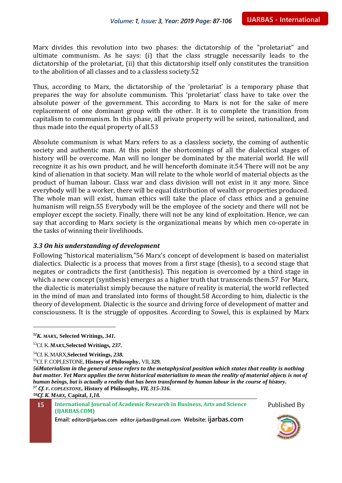Marx divides this revolution into two phases: the dictatorship of the "proletariat" and ultimate communism. As he says: (i) that the class struggle necessarily leads to the dictatorship of the proletariat, (ii) that this dictatorship itself only constitutes the transition to the abolition of all classes and to a classless society.52

Thus, according to Marx, the dictatorship of the 'proletariat' is a temporary phase that prepares the way for absolute communism. This 'proletariat' class have to take over the absolute power of the government. This according to Marx is not for the sake of mere replacement of one dominant group with the other. It is to complete the transition from capitalism to communism. In this phase, all private property will be seized, nationalized, and thus made into the equal property of all.53

Absolute communism is what Marx refers to as a classless society, the coming of authentic society and authentic man. At this point the shortcomings of all the dialectical stages of history will be overcome. Man will no longer be dominated by the material world. He will recognize it as his own product, and he will henceforth dominate it.54 There will not be any kind of alienation in that society. Man will relate to the whole world of material objects as the product of human labour. Class war and class division will not exist in it any more. Since everybody will be a worker, there will be equal distribution of wealth or properties produced. The whole man will exist, human ethics will take the place of class ethics and a genuine humanism will reign.55 Everybody will be the employee of the society and there will not be employer except the society. Finally, there will not be any kind of exploitation. Hence, we can say that according to Marx society is the organizational means by which men co-operate in the tasks of winning their livelihoods.

#### *3.3 On his understanding of development*

Following "historical materialism,"56 Marx's concept of development is based on materialist dialectics. Dialectic is a process that moves from a first stage (thesis), to a second stage that negates or contradicts the first (antithesis). This negation is overcomed by a third stage in which a new concept (synthesis) emerges as a higher truth that transcends them.57 For Marx, the dialectic is materialist simply because the nature of reality is material, the world reflected in the mind of man and translated into forms of thought.58 According to him, dialectic is the theory of development. Dialectic is the source and driving force of development of matter and consciousness. It is the struggle of opposites. According to Sowel, this is explained by Marx

 $\overline{a}$ 

**15 International Journal of Academic Research in Business, Arts and Science (IJARBAS.COM)**





*<sup>52</sup>K. MARX,* **Selected Writings,** *341.*

<sup>53</sup>Cf. K.*MARX,***Selected Writings,** *237.*

<sup>54</sup>Cf. K.MARX,**Selected Writings,** *238.*

<sup>55</sup>Cf. F.COPLESTONE, **History of Philosophy,** VII, *329.*

*<sup>56</sup>Materialism in the general sense refers to the metaphysical position which states that reality is nothing but matter. Yet Marx applies the term historical materialism to mean the reality of material objects is not of human beings, but is actually a reality that has been transformed by human labour in the course of history. <sup>57</sup> Cf. F. COPLESTONE,* **History of Philosophy,** *VII, 315-316.*

*<sup>58</sup>Cf. K. MARX,* **Capital,** *1,18.*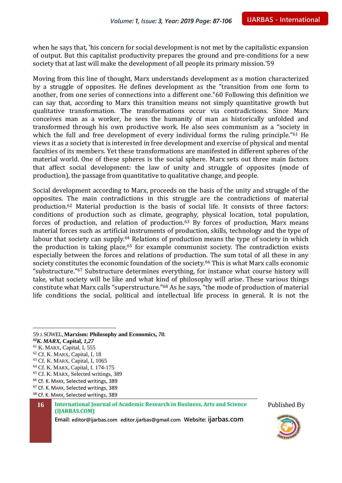when he says that, 'his concern for social development is not met by the capitalistic expansion of output. But this capitalist productivity prepares the ground and pre-conditions for a new society that at last will make the development of all people its primary mission.'59

Moving from this line of thought, Marx understands development as a motion characterized by a struggle of opposites. He defines development as the "transition from one form to another, from one series of connections into a different one."60 Following this definition we can say that, according to Marx this transition means not simply quantitative growth but qualitative transformation. The transformations occur via contradictions. Since Marx conceives man as a worker, he sees the humanity of man as historically unfolded and transformed through his own productive work. He also sees communism as a "society in which the full and free development of every individual forms the ruling principle."<sup>61</sup> He views it as a society that is interested in free development and exercise of physical and mental faculties of its members. Yet these transformations are manifested in different spheres of the material world. One of these spheres is the social sphere. Marx sets out three main factors that affect social development: the law of unity and struggle of opposites (mode of production), the passage from quantitative to qualitative change, and people.

Social development according to Marx, proceeds on the basis of the unity and struggle of the opposites. The main contradictions in this struggle are the contradictions of material production.<sup>62</sup> Material production is the basis of social life. It consists of three factors: conditions of production such as climate, geography, physical location, total population, forces of production, and relation of production.<sup>63</sup> By forces of production, Marx means material forces such as artificial instruments of production, skills, technology and the type of labour that society can supply.<sup>64</sup> Relations of production means the type of society in which the production is taking place, $65$  for example communist society. The contradiction exists especially between the forces and relations of production. The sum total of all these in any society constitutes the economic foundation of the society.<sup>66</sup> This is what Marx calls economic "substructure."<sup>67</sup> Substructure determines everything, for instance what course history will take, what society will be like and what kind of philosophy will arise. These various things constitute what Marx calls "superstructure."<sup>68</sup> As he says, "the mode of production of material life conditions the social, political and intellectual life process in general. It is not the

 $\overline{a}$ 

- <sup>61</sup> K. MARX, Capital, I, 555
- <sup>62</sup> Cf. K. MARX, Capital, I, 18
- <sup>63</sup> Cf. K. MARX, Capital, I, 1065

- <sup>65</sup> Cf. K. MARX, Selected writings, 389
- <sup>66</sup> Cf. K. MARX, Selected writings, 389
- <sup>67</sup> Cf. K. MARX, Selected writings, 389
- <sup>68</sup> Cf. K. MARX, Selected writings, 389

**16 International Journal of Academic Research in Business, Arts and Science (IJARBAS.COM)**





<sup>59</sup> J.SOWEL, **Marxism: Philosophy and Economics,** *70.*

*<sup>60</sup>K. MARX,* **Capital,** *1,27*

<sup>64</sup> Cf. K. MARX, Capital, I. 174-175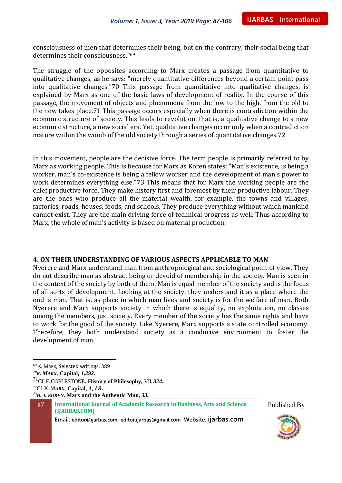consciousness of men that determines their being, but on the contrary, their social being that determines their consciousness."<sup>69</sup>

The struggle of the opposites according to Marx creates a passage from quantitative to qualitative changes, as he says: "merely quantitative differences beyond a certain point pass into qualitative changes."70 This passage from quantitative into qualitative changes, is explained by Marx as one of the basic laws of development of reality. In the course of this passage, the movement of objects and phenomena from the low to the high, from the old to the new takes place.71 This passage occurs especially when there is contradiction within the economic structure of society. This leads to revolution, that is, a qualitative change to a new economic structure, a new social era. Yet, qualitative changes occur only when a contradiction mature within the womb of the old society through a series of quantitative changes.72

In this movement, people are the decisive force. The term people is primarily referred to by Marx as working people. This is because for Marx as Koren states: "Man's existence, is being a worker, man's co-existence is being a fellow worker and the development of man's power to work determines everything else."73 This means that for Marx the working people are the chief productive force. They make history first and foremost by their productive labour. They are the ones who produce all the material wealth, for example, the towns and villages, factories, roads, houses, foods, and schools. They produce everything without which mankind cannot exist. They are the main driving force of technical progress as well. Thus according to Marx, the whole of man's activity is based on material production.

#### **4. ON THEIR UNDERSTANDING OF VARIOUS ASPECTS APPLICABLE TO MAN**

Nyerere and Marx understand man from anthropological and sociological point of view. They do not describe man as abstract being or devoid of membership in the society. Man is seen in the context of the society by both of them. Man is equal member of the society and is the focus of all sorts of development. Looking at the society, they understand it as a place where the end is man. That is, as place in which man lives and society is for the welfare of man. Both Nyerere and Marx supports society in which there is equality, no exploitation, no classes among the members, just society. Every member of the society has the same rights and have to work for the good of the society. Like Nyerere, Marx supports a state controlled economy. Therefore, they both understand society as a conducive environment to foster the development of man.

 $\overline{a}$ 





<sup>69</sup> K. MARX, Selected writings, 389

*<sup>70</sup>K. MARX,* **Capital,** *1,292.*

<sup>71</sup>Cf. F.COPLESTONE, **History of Philosophy,** VII, *324.*

<sup>72</sup>Cf. K.*MARX,* **Capital,** *1,18.*

*<sup>73</sup>H. J. KOREN,* **Marx and the Authentic Man,** *33.*

**<sup>17</sup> International Journal of Academic Research in Business, Arts and Science (IJARBAS.COM)**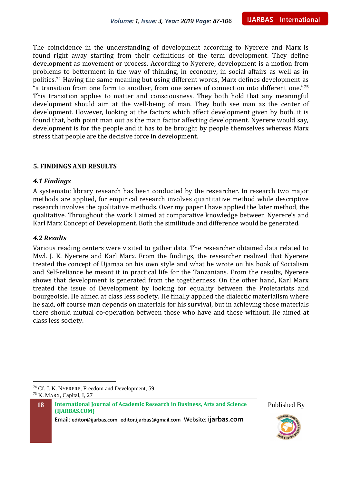The coincidence in the understanding of development according to Nyerere and Marx is found right away starting from their definitions of the term development. They define development as movement or process. According to Nyerere, development is a motion from problems to betterment in the way of thinking, in economy, in social affairs as well as in politics.<sup>74</sup> Having the same meaning but using different words, Marx defines development as "a transition from one form to another, from one series of connection into different one."<sup>75</sup> This transition applies to matter and consciousness. They both hold that any meaningful development should aim at the well-being of man. They both see man as the center of development. However, looking at the factors which affect development given by both, it is found that, both point man out as the main factor affecting development. Nyerere would say, development is for the people and it has to be brought by people themselves whereas Marx stress that people are the decisive force in development.

#### **5. FINDINGS AND RESULTS**

#### *4.1 Findings*

A systematic library research has been conducted by the researcher. In research two major methods are applied, for empirical research involves quantitative method while descriptive research involves the qualitative methods. Over my paper I have applied the later method, the qualitative. Throughout the work I aimed at comparative knowledge between Nyerere's and Karl Marx Concept of Development. Both the similitude and difference would be generated.

#### *4.2 Results*

 $\overline{a}$ 

Various reading centers were visited to gather data. The researcher obtained data related to Mwl. J. K. Nyerere and Karl Marx. From the findings, the researcher realized that Nyerere treated the concept of Ujamaa on his own style and what he wrote on his book of Socialism and Self-reliance he meant it in practical life for the Tanzanians. From the results, Nyerere shows that development is generated from the togetherness. On the other hand, Karl Marx treated the issue of Development by looking for equality between the Proletariats and bourgeoisie. He aimed at class less society. He finally applied the dialectic materialism where he said, off course man depends on materials for his survival, but in achieving those materials there should mutual co-operation between those who have and those without. He aimed at class less society.

**18 International Journal of Academic Research in Business, Arts and Science (IJARBAS.COM)**





<sup>74</sup> Cf. J. K. NYERERE, Freedom and Development, 59 <sup>75</sup> K. MARX, Capital, I, 27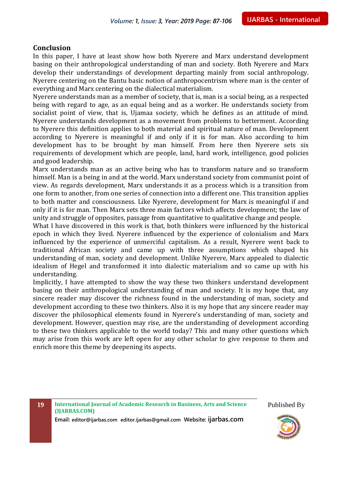#### **Conclusion**

In this paper, I have at least show how both Nyerere and Marx understand development basing on their anthropological understanding of man and society. Both Nyerere and Marx develop their understandings of development departing mainly from social anthropology. Nyerere centering on the Bantu basic notion of anthropocentrism where man is the center of everything and Marx centering on the dialectical materialism.

Nyerere understands man as a member of society, that is, man is a social being, as a respected being with regard to age, as an equal being and as a worker. He understands society from socialist point of view, that is, Ujamaa society, which he defines as an attitude of mind. Nyerere understands development as a movement from problems to betterment. According to Nyerere this definition applies to both material and spiritual nature of man. Development according to Nyerere is meaningful if and only if it is for man. Also according to him development has to be brought by man himself. From here then Nyerere sets six requirements of development which are people, land, hard work, intelligence, good policies and good leadership.

Marx understands man as an active being who has to transform nature and so transform himself. Man is a being in and at the world. Marx understand society from communist point of view. As regards development, Marx understands it as a process which is a transition from one form to another, from one series of connection into a different one. This transition applies to both matter and consciousness. Like Nyerere, development for Marx is meaningful if and only if it is for man. Then Marx sets three main factors which affects development; the law of unity and struggle of opposites, passage from quantitative to qualitative change and people.

What I have discovered in this work is that, both thinkers were influenced by the historical epoch in which they lived. Nyerere influenced by the experience of colonialism and Marx influenced by the experience of unmerciful capitalism. As a result, Nyerere went back to traditional African society and came up with three assumptions which shaped his understanding of man, society and development. Unlike Nyerere, Marx appealed to dialectic idealism of Hegel and transformed it into dialectic materialism and so came up with his understanding.

Implicitly, I have attempted to show the way these two thinkers understand development basing on their anthropological understanding of man and society. It is my hope that, any sincere reader may discover the richness found in the understanding of man, society and development according to these two thinkers. Also it is my hope that any sincere reader may discover the philosophical elements found in Nyerere's understanding of man, society and development. However, question may rise, are the understanding of development according to these two thinkers applicable to the world today? This and many other questions which may arise from this work are left open for any other scholar to give response to them and enrich more this theme by deepening its aspects.

**19 International Journal of Academic Research in Business, Arts and Science (IJARBAS.COM)**

**Email: editor@ijarbas.com editor.ijarbas@gmail.com Website: ijarbas.com**